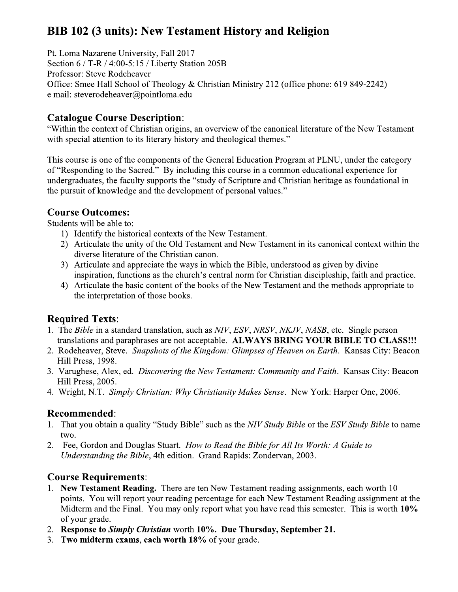# **BIB 102 (3 units): New Testament History and Religion**

Pt. Loma Nazarene University, Fall 2017 Section 6 / T-R / 4:00-5:15 / Liberty Station 205B Professor: Steve Rodeheaver Office: Smee Hall School of Theology & Christian Ministry 212 (office phone: 619 849-2242) e mail: steverodeheaver@pointloma.edu

# **Catalogue Course Description:**

"Within the context of Christian origins, an overview of the canonical literature of the New Testament with special attention to its literary history and theological themes."

This course is one of the components of the General Education Program at PLNU, under the category of "Responding to the Sacred." By including this course in a common educational experience for undergraduates, the faculty supports the "study of Scripture and Christian heritage as foundational in the pursuit of knowledge and the development of personal values."

### **Course Outcomes:**

Students will be able to:

- 1) Identify the historical contexts of the New Testament.
- 2) Articulate the unity of the Old Testament and New Testament in its canonical context within the diverse literature of the Christian canon.
- 3) Articulate and appreciate the ways in which the Bible, understood as given by divine inspiration, functions as the church's central norm for Christian discipleship, faith and practice.
- 4) Articulate the basic content of the books of the New Testament and the methods appropriate to the interpretation of those books.

# **Required Texts:**

- 1. The Bible in a standard translation, such as NIV, ESV, NRSV, NKJV, NASB, etc. Single person translations and paraphrases are not acceptable. ALWAYS BRING YOUR BIBLE TO CLASS!!!
- 2. Rodeheaver, Steve. Snapshots of the Kingdom: Glimpses of Heaven on Earth. Kansas City: Beacon Hill Press, 1998.
- 3. Varughese, Alex, ed. Discovering the New Testament: Community and Faith. Kansas City: Beacon Hill Press, 2005.
- 4. Wright, N.T. Simply Christian: Why Christianity Makes Sense. New York: Harper One, 2006.

# **Recommended:**

- 1. That you obtain a quality "Study Bible" such as the NIV Study Bible or the ESV Study Bible to name two.
- 2. Fee, Gordon and Douglas Stuart. How to Read the Bible for All Its Worth: A Guide to Understanding the Bible, 4th edition. Grand Rapids: Zondervan, 2003.

# **Course Requirements:**

- 1. New Testament Reading. There are ten New Testament reading assignments, each worth 10 points. You will report your reading percentage for each New Testament Reading assignment at the Midterm and the Final. You may only report what you have read this semester. This is worth 10% of your grade.
- 2. Response to Simply Christian worth 10%. Due Thursday, September 21.
- 3. Two midterm exams, each worth 18% of your grade.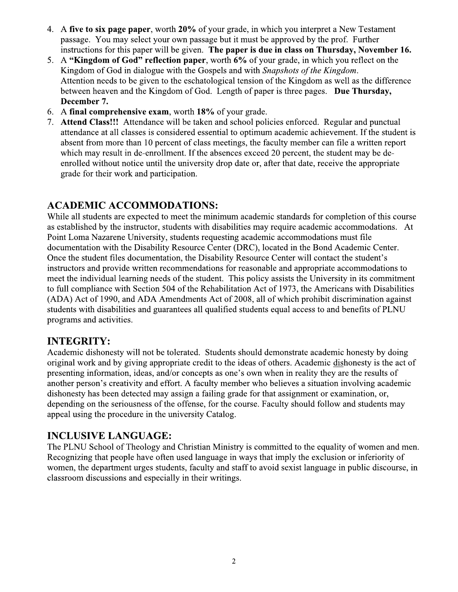- 4. A five to six page paper, worth 20% of your grade, in which you interpret a New Testament passage. You may select your own passage but it must be approved by the prof. Further instructions for this paper will be given. The paper is due in class on Thursday, November 16.
- 5. A "Kingdom of God" reflection paper, worth 6% of your grade, in which you reflect on the Kingdom of God in dialogue with the Gospels and with Snapshots of the Kingdom. Attention needs to be given to the eschatological tension of the Kingdom as well as the difference between heaven and the Kingdom of God. Length of paper is three pages. Due Thursday, December 7.
- 6. A final comprehensive exam, worth 18% of your grade.
- 7. Attend Class!!! Attendance will be taken and school policies enforced. Regular and punctual attendance at all classes is considered essential to optimum academic achievement. If the student is absent from more than 10 percent of class meetings, the faculty member can file a written report which may result in de-enrollment. If the absences exceed 20 percent, the student may be deenrolled without notice until the university drop date or, after that date, receive the appropriate grade for their work and participation.

#### **ACADEMIC ACCOMMODATIONS:**

While all students are expected to meet the minimum academic standards for completion of this course as established by the instructor, students with disabilities may require academic accommodations. At Point Loma Nazarene University, students requesting academic accommodations must file documentation with the Disability Resource Center (DRC), located in the Bond Academic Center. Once the student files documentation, the Disability Resource Center will contact the student's instructors and provide written recommendations for reasonable and appropriate accommodations to meet the individual learning needs of the student. This policy assists the University in its commitment to full compliance with Section 504 of the Rehabilitation Act of 1973, the Americans with Disabilities (ADA) Act of 1990, and ADA Amendments Act of 2008, all of which prohibit discrimination against students with disabilities and guarantees all qualified students equal access to and benefits of PLNU programs and activities.

#### **INTEGRITY:**

Academic dishonesty will not be tolerated. Students should demonstrate academic honesty by doing original work and by giving appropriate credit to the ideas of others. Academic dishonesty is the act of presenting information, ideas, and/or concepts as one's own when in reality they are the results of another person's creativity and effort. A faculty member who believes a situation involving academic dishonesty has been detected may assign a failing grade for that assignment or examination, or, depending on the seriousness of the offense, for the course. Faculty should follow and students may appeal using the procedure in the university Catalog.

#### **INCLUSIVE LANGUAGE:**

The PLNU School of Theology and Christian Ministry is committed to the equality of women and men. Recognizing that people have often used language in ways that imply the exclusion or inferiority of women, the department urges students, faculty and staff to avoid sexist language in public discourse, in classroom discussions and especially in their writings.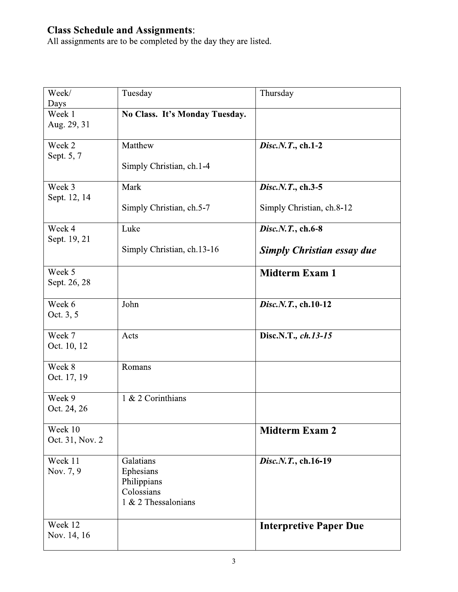**Class Schedule and Assignments:**<br>All assignments are to be completed by the day they are listed.

| Week/<br>Days              | Tuesday                                                                    | Thursday                                               |
|----------------------------|----------------------------------------------------------------------------|--------------------------------------------------------|
| Week 1<br>Aug. 29, 31      | No Class. It's Monday Tuesday.                                             |                                                        |
| Week 2<br>Sept. 5, 7       | Matthew<br>Simply Christian, ch.1-4                                        | Disc.N.T., ch.1-2                                      |
| Week 3<br>Sept. 12, 14     | Mark<br>Simply Christian, ch.5-7                                           | Disc.N.T., ch.3-5<br>Simply Christian, ch.8-12         |
| Week 4<br>Sept. 19, 21     | Luke<br>Simply Christian, ch.13-16                                         | Disc.N.T., ch.6-8<br><b>Simply Christian essay due</b> |
| Week 5<br>Sept. 26, 28     |                                                                            | <b>Midterm Exam 1</b>                                  |
| Week 6<br>Oct. 3, 5        | John                                                                       | Disc.N.T., ch.10-12                                    |
| Week 7<br>Oct. 10, 12      | Acts                                                                       | Disc.N.T., ch.13-15                                    |
| Week 8<br>Oct. 17, 19      | Romans                                                                     |                                                        |
| Week 9<br>Oct. 24, 26      | 1 & 2 Corinthians                                                          |                                                        |
| Week 10<br>Oct. 31, Nov. 2 |                                                                            | <b>Midterm Exam 2</b>                                  |
| Week 11<br>Nov. 7, 9       | Galatians<br>Ephesians<br>Philippians<br>Colossians<br>1 & 2 Thessalonians | Disc.N.T., ch.16-19                                    |
| Week 12<br>Nov. 14, 16     |                                                                            | <b>Interpretive Paper Due</b>                          |